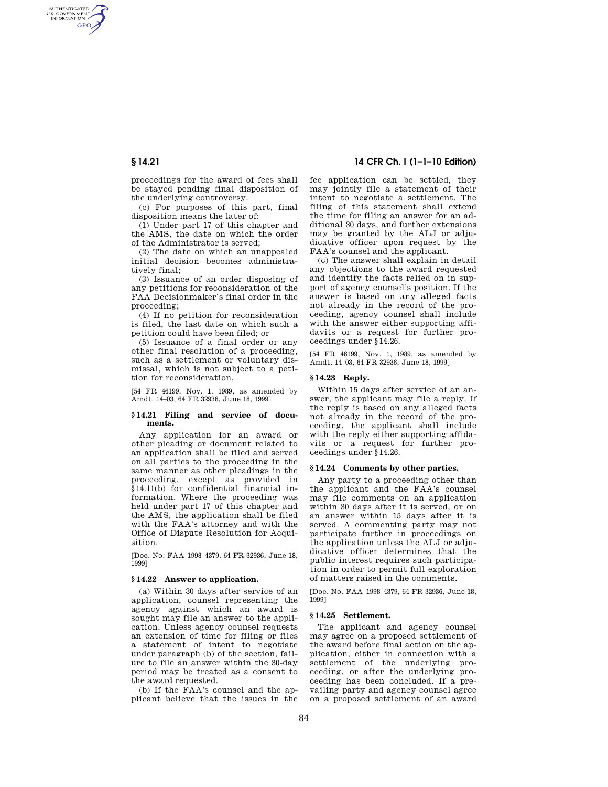AUTHENTICATED<br>U.S. GOVERNMENT<br>INFORMATION **GPO** 

> proceedings for the award of fees shall be stayed pending final disposition of the underlying controversy.

> (c) For purposes of this part, final disposition means the later of:

(1) Under part 17 of this chapter and the AMS, the date on which the order of the Administrator is served;

(2) The date on which an unappealed initial decision becomes administratively final;

(3) Issuance of an order disposing of any petitions for reconsideration of the FAA Decisionmaker's final order in the proceeding;

(4) If no petition for reconsideration is filed, the last date on which such a petition could have been filed; or

(5) Issuance of a final order or any other final resolution of a proceeding, such as a settlement or voluntary dismissal, which is not subject to a petition for reconsideration.

[54 FR 46199, Nov. 1, 1989, as amended by Amdt. 14–03, 64 FR 32936, June 18, 1999]

#### **§ 14.21 Filing and service of documents.**

Any application for an award or other pleading or document related to an application shall be filed and served on all parties to the proceeding in the same manner as other pleadings in the proceeding, except as provided in §14.11(b) for confidential financial information. Where the proceeding was held under part 17 of this chapter and the AMS, the application shall be filed with the FAA's attorney and with the Office of Dispute Resolution for Acquisition.

[Doc. No. FAA–1998–4379, 64 FR 32936, June 18, 1999]

## **§ 14.22 Answer to application.**

(a) Within 30 days after service of an application, counsel representing the agency against which an award is sought may file an answer to the application. Unless agency counsel requests an extension of time for filing or files a statement of intent to negotiate under paragraph (b) of the section, failure to file an answer within the 30-day period may be treated as a consent to the award requested.

(b) If the FAA's counsel and the applicant believe that the issues in the

# **§ 14.21 14 CFR Ch. I (1–1–10 Edition)**

fee application can be settled, they may jointly file a statement of their intent to negotiate a settlement. The filing of this statement shall extend the time for filing an answer for an additional 30 days, and further extensions may be granted by the ALJ or adjudicative officer upon request by the FAA's counsel and the applicant.

(c) The answer shall explain in detail any objections to the award requested and identify the facts relied on in support of agency counsel's position. If the answer is based on any alleged facts not already in the record of the proceeding, agency counsel shall include with the answer either supporting affidavits or a request for further proceedings under §14.26.

[54 FR 46199, Nov. 1, 1989, as amended by Amdt. 14–03, 64 FR 32936, June 18, 1999]

# **§ 14.23 Reply.**

Within 15 days after service of an answer, the applicant may file a reply. If the reply is based on any alleged facts not already in the record of the proceeding, the applicant shall include with the reply either supporting affidavits or a request for further proceedings under §14.26.

# **§ 14.24 Comments by other parties.**

Any party to a proceeding other than the applicant and the FAA's counsel may file comments on an application within 30 days after it is served, or on an answer within 15 days after it is served. A commenting party may not participate further in proceedings on the application unless the ALJ or adjudicative officer determines that the public interest requires such participation in order to permit full exploration of matters raised in the comments.

[Doc. No. FAA–1998–4379, 64 FR 32936, June 18, 1999]

### **§ 14.25 Settlement.**

The applicant and agency counsel may agree on a proposed settlement of the award before final action on the application, either in connection with a settlement of the underlying proceeding, or after the underlying proceeding has been concluded. If a prevailing party and agency counsel agree on a proposed settlement of an award